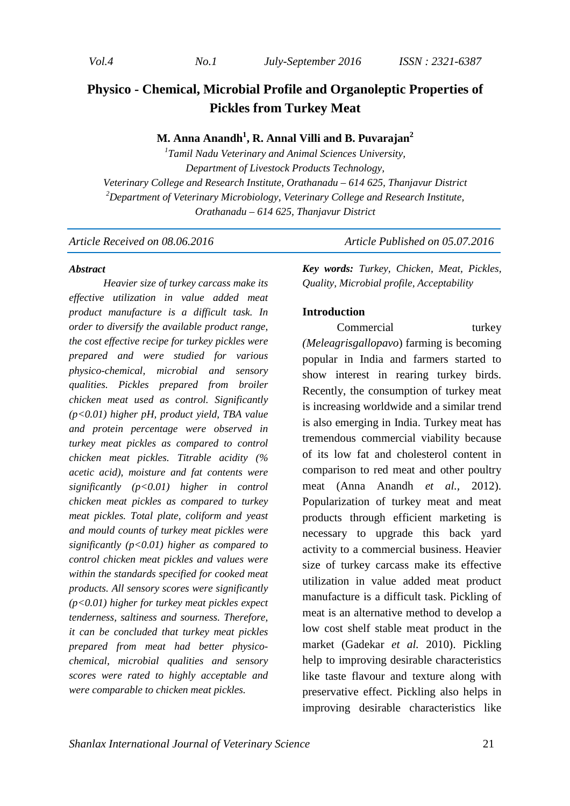# **Physico - Chemical, Microbial Profile and Organoleptic Properties of Pickles from Turkey Meat**

### **M. Anna Anandh<sup>1</sup> , R. Annal Villi and B. Puvarajan<sup>2</sup>**

*1 Tamil Nadu Veterinary and Animal Sciences University, Department of Livestock Products Technology, Veterinary College and Research Institute, Orathanadu – 614 625, Thanjavur District <sup>2</sup>Department of Veterinary Microbiology, Veterinary College and Research Institute, Orathanadu – 614 625, Thanjavur District* 

*Article Received on 08.06.2016* Article Published on 05.07.2016

#### *Abstract*

*Heavier size of turkey carcass make its effective utilization in value added meat product manufacture is a difficult task. In order to diversify the available product range, the cost effective recipe for turkey pickles were prepared and were studied for various physico-chemical, microbial and sensory qualities. Pickles prepared from broiler chicken meat used as control. Significantly (p<0.01) higher pH, product yield, TBA value and protein percentage were observed in turkey meat pickles as compared to control chicken meat pickles. Titrable acidity (% acetic acid), moisture and fat contents were significantly (p<0.01) higher in control chicken meat pickles as compared to turkey meat pickles. Total plate, coliform and yeast and mould counts of turkey meat pickles were significantly (p<0.01) higher as compared to control chicken meat pickles and values were within the standards specified for cooked meat products. All sensory scores were significantly (p<0.01) higher for turkey meat pickles expect tenderness, saltiness and sourness. Therefore, it can be concluded that turkey meat pickles prepared from meat had better physicochemical, microbial qualities and sensory scores were rated to highly acceptable and were comparable to chicken meat pickles.* 

*Key words: Turkey, Chicken, Meat, Pickles, Quality, Microbial profile, Acceptability* 

#### **Introduction**

Commercial turkey *(Meleagrisgallopavo*) farming is becoming popular in India and farmers started to show interest in rearing turkey birds. Recently, the consumption of turkey meat is increasing worldwide and a similar trend is also emerging in India. Turkey meat has tremendous commercial viability because of its low fat and cholesterol content in comparison to red meat and other poultry meat (Anna Anandh *et al.,* 2012). Popularization of turkey meat and meat products through efficient marketing is necessary to upgrade this back yard activity to a commercial business. Heavier size of turkey carcass make its effective utilization in value added meat product manufacture is a difficult task. Pickling of meat is an alternative method to develop a low cost shelf stable meat product in the market (Gadekar *et al.* 2010). Pickling help to improving desirable characteristics like taste flavour and texture along with preservative effect. Pickling also helps in improving desirable characteristics like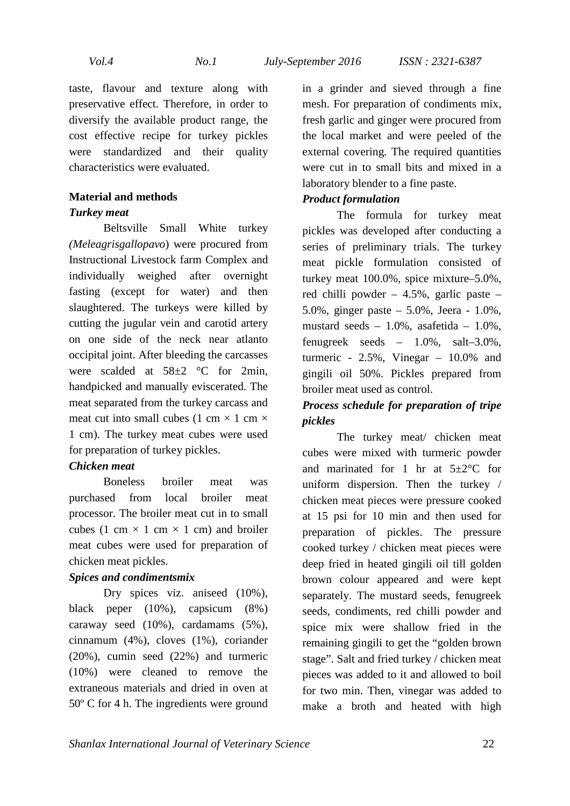taste, flavour and texture along with preservative effect. Therefore, in order to diversify the available product range, the cost effective recipe for turkey pickles were standardized and their quality characteristics were evaluated.

### **Material and methods**  *Turkey meat*

Beltsville Small White turkey *(Meleagrisgallopavo*) were procured from Instructional Livestock farm Complex and individually weighed after overnight fasting (except for water) and then slaughtered. The turkeys were killed by cutting the jugular vein and carotid artery on one side of the neck near atlanto occipital joint. After bleeding the carcasses were scalded at  $58\pm2$  °C for 2min, handpicked and manually eviscerated. The meat separated from the turkey carcass and meat cut into small cubes (1 cm  $\times$  1 cm  $\times$ 1 cm). The turkey meat cubes were used for preparation of turkey pickles.

### *Chicken meat*

Boneless broiler meat was purchased from local broiler meat processor. The broiler meat cut in to small cubes (1 cm  $\times$  1 cm  $\times$  1 cm) and broiler meat cubes were used for preparation of chicken meat pickles.

#### *Spices and condimentsmix*

Dry spices viz. aniseed  $(10\%)$ , black peper (10%), capsicum (8%) caraway seed (10%), cardamams (5%), cinnamum (4%), cloves (1%), coriander (20%), cumin seed (22%) and turmeric (10%) were cleaned to remove the extraneous materials and dried in oven at 50º C for 4 h. The ingredients were ground in a grinder and sieved through a fine mesh. For preparation of condiments mix, fresh garlic and ginger were procured from the local market and were peeled of the external covering. The required quantities were cut in to small bits and mixed in a laboratory blender to a fine paste.

### *Product formulation*

The formula for turkey meat pickles was developed after conducting a series of preliminary trials. The turkey meat pickle formulation consisted of turkey meat 100.0%, spice mixture–5.0%, red chilli powder – 4.5%, garlic paste – 5.0%, ginger paste – 5.0%, Jeera - 1.0%, mustard seeds  $-1.0\%$ , asafetida  $-1.0\%$ , fenugreek seeds – 1.0%, salt–3.0%, turmeric - 2.5%, Vinegar – 10.0% and gingili oil 50%. Pickles prepared from broiler meat used as control.

## *Process schedule for preparation of tripe pickles*

The turkey meat/ chicken meat cubes were mixed with turmeric powder and marinated for 1 hr at  $5\pm2$ °C for uniform dispersion. Then the turkey / chicken meat pieces were pressure cooked at 15 psi for 10 min and then used for preparation of pickles. The pressure cooked turkey / chicken meat pieces were deep fried in heated gingili oil till golden brown colour appeared and were kept separately. The mustard seeds, fenugreek seeds, condiments, red chilli powder and spice mix were shallow fried in the remaining gingili to get the "golden brown stage". Salt and fried turkey / chicken meat pieces was added to it and allowed to boil for two min. Then, vinegar was added to make a broth and heated with high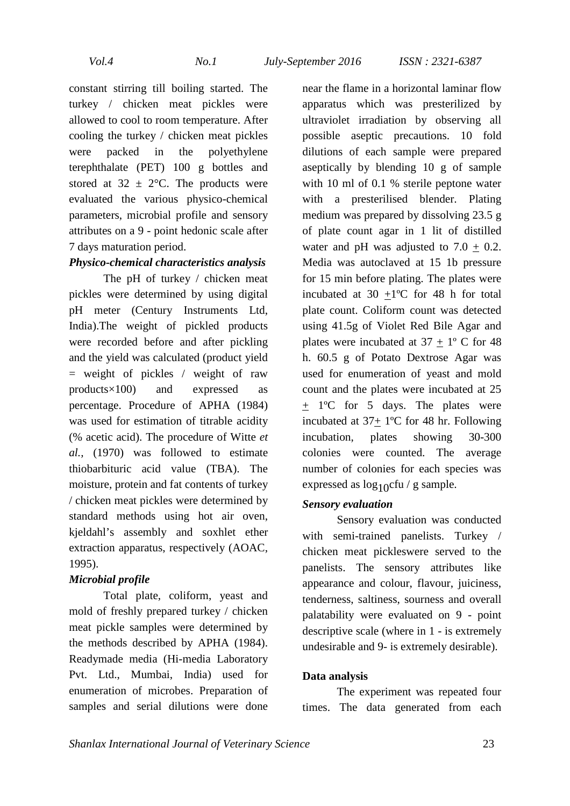constant stirring till boiling started. The turkey / chicken meat pickles were allowed to cool to room temperature. After cooling the turkey / chicken meat pickles were packed in the polyethylene terephthalate (PET) 100 g bottles and stored at  $32 \pm 2$ °C. The products were evaluated the various physico-chemical parameters, microbial profile and sensory attributes on a 9 - point hedonic scale after 7 days maturation period.

### *Physico-chemical characteristics analysis*

The pH of turkey / chicken meat pickles were determined by using digital pH meter (Century Instruments Ltd, India).The weight of pickled products were recorded before and after pickling and the yield was calculated (product yield  $=$  weight of pickles / weight of raw products×100) and expressed as percentage. Procedure of APHA (1984) was used for estimation of titrable acidity (% acetic acid). The procedure of Witte *et al.,* (1970) was followed to estimate thiobarbituric acid value (TBA). The moisture, protein and fat contents of turkey / chicken meat pickles were determined by standard methods using hot air oven, kjeldahl's assembly and soxhlet ether extraction apparatus, respectively (AOAC, 1995).

### *Microbial profile*

Total plate, coliform, yeast and mold of freshly prepared turkey / chicken meat pickle samples were determined by the methods described by APHA (1984). Readymade media (Hi-media Laboratory Pvt. Ltd., Mumbai, India) used for enumeration of microbes. Preparation of samples and serial dilutions were done

near the flame in a horizontal laminar flow apparatus which was presterilized by ultraviolet irradiation by observing all possible aseptic precautions. 10 fold dilutions of each sample were prepared aseptically by blending 10 g of sample with 10 ml of 0.1 % sterile peptone water with a presterilised blender. Plating medium was prepared by dissolving 23.5 g of plate count agar in 1 lit of distilled water and pH was adjusted to  $7.0 + 0.2$ . Media was autoclaved at 15 1b pressure for 15 min before plating. The plates were incubated at  $30 + 1$ °C for 48 h for total plate count. Coliform count was detected using 41.5g of Violet Red Bile Agar and plates were incubated at  $37 + 1^{\circ}$  C for 48 h. 60.5 g of Potato Dextrose Agar was used for enumeration of yeast and mold count and the plates were incubated at 25 + 1ºC for 5 days. The plates were incubated at 37+ 1ºC for 48 hr. Following incubation, plates showing 30-300 colonies were counted. The average number of colonies for each species was expressed as  $log_{10}$ cfu / g sample.

#### *Sensory evaluation*

Sensory evaluation was conducted with semi-trained panelists. Turkey / chicken meat pickleswere served to the panelists. The sensory attributes like appearance and colour, flavour, juiciness, tenderness, saltiness, sourness and overall palatability were evaluated on 9 - point descriptive scale (where in 1 - is extremely undesirable and 9- is extremely desirable).

### **Data analysis**

The experiment was repeated four times. The data generated from each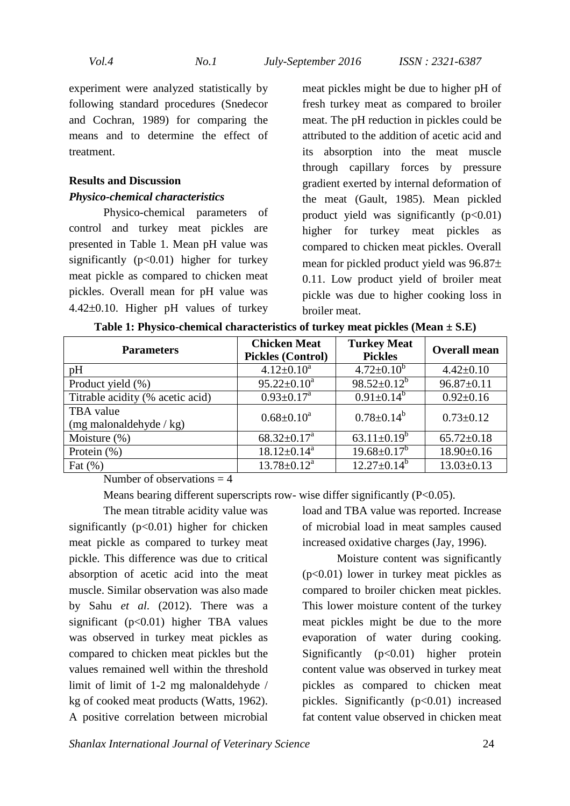experiment were analyzed statistically by following standard procedures (Snedecor and Cochran, 1989) for comparing the means and to determine the effect of treatment.

### **Results and Discussion**  *Physico-chemical characteristics*

Physico-chemical parameters of control and turkey meat pickles are presented in Table 1. Mean pH value was significantly  $(p<0.01)$  higher for turkey meat pickle as compared to chicken meat pickles. Overall mean for pH value was 4.42±0.10. Higher pH values of turkey

meat pickles might be due to higher pH of fresh turkey meat as compared to broiler meat. The pH reduction in pickles could be attributed to the addition of acetic acid and its absorption into the meat muscle through capillary forces by pressure gradient exerted by internal deformation of the meat (Gault, 1985). Mean pickled product yield was significantly  $(p<0.01)$ higher for turkey meat pickles as compared to chicken meat pickles. Overall mean for pickled product yield was 96.87± 0.11. Low product yield of broiler meat pickle was due to higher cooking loss in broiler meat.

| <b>Parameters</b>                              | <b>Chicken Meat</b><br><b>Pickles (Control)</b> | <b>Turkey Meat</b><br><b>Pickles</b> | <b>Overall mean</b> |
|------------------------------------------------|-------------------------------------------------|--------------------------------------|---------------------|
| pH                                             | $4.12 \pm 0.10^a$                               | $4.72 \pm 0.10^b$                    | $4.42 \pm 0.10$     |
| Product yield (%)                              | $95.22 \pm 0.10^a$                              | $98.52 \pm 0.12^b$                   | $96.87 \pm 0.11$    |
| Titrable acidity (% acetic acid)               | $0.93 \pm 0.17^a$                               | $0.91 \pm 0.14^{b}$                  | $0.92 \pm 0.16$     |
| TBA value<br>$(mg \text{ malonaldehyde} / kg)$ | $0.68 \pm 0.10^a$                               | $0.78 \pm 0.14^b$                    | $0.73 \pm 0.12$     |
| Moisture $(\%)$                                | $68.32 \pm 0.17^a$                              | 63.11 $\pm$ 0.19 <sup>b</sup>        | $65.72 \pm 0.18$    |
| Protein $(\% )$                                | $18.12 \pm 0.14^a$                              | $19.68 \pm 0.17^b$                   | $18.90 \pm 0.16$    |
| Fat $(\% )$                                    | $13.78 \pm 0.12^a$                              | $12.27 \pm 0.14^b$                   | $13.03 \pm 0.13$    |

**Table 1: Physico-chemical characteristics of turkey meat pickles (Mean ± S.E)** 

Number of observations  $=$  4

Means bearing different superscripts row- wise differ significantly (P<0.05).

The mean titrable acidity value was significantly  $(p<0.01)$  higher for chicken meat pickle as compared to turkey meat pickle. This difference was due to critical absorption of acetic acid into the meat muscle. Similar observation was also made by Sahu *et al*. (2012). There was a significant  $(p<0.01)$  higher TBA values was observed in turkey meat pickles as compared to chicken meat pickles but the values remained well within the threshold limit of limit of 1-2 mg malonaldehyde / kg of cooked meat products (Watts, 1962). A positive correlation between microbial

load and TBA value was reported. Increase of microbial load in meat samples caused increased oxidative charges (Jay, 1996).

Moisture content was significantly (p<0.01) lower in turkey meat pickles as compared to broiler chicken meat pickles. This lower moisture content of the turkey meat pickles might be due to the more evaporation of water during cooking. Significantly  $(p<0.01)$  higher protein content value was observed in turkey meat pickles as compared to chicken meat pickles. Significantly  $(p<0.01)$  increased fat content value observed in chicken meat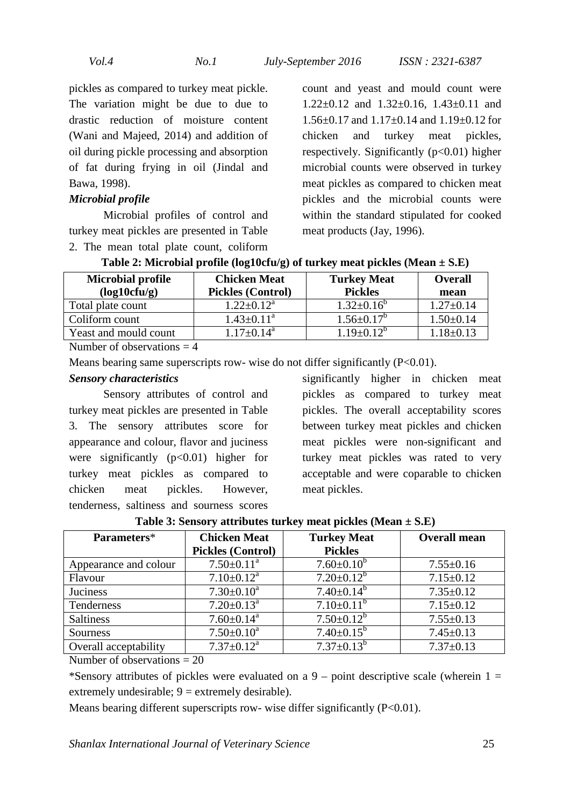pickles as compared to turkey meat pickle. The variation might be due to due to drastic reduction of moisture content (Wani and Majeed, 2014) and addition of oil during pickle processing and absorption of fat during frying in oil (Jindal and Bawa, 1998).

#### *Microbial profile*

Microbial profiles of control and turkey meat pickles are presented in Table 2. The mean total plate count, coliform

count and yeast and mould count were 1.22±0.12 and 1.32±0.16, 1.43±0.11 and 1.56±0.17 and 1.17±0.14 and 1.19±0.12 for chicken and turkey meat pickles, respectively. Significantly  $(p<0.01)$  higher microbial counts were observed in turkey meat pickles as compared to chicken meat pickles and the microbial counts were within the standard stipulated for cooked meat products (Jay, 1996).

| <b>Microbial profile</b> | <b>Chicken Meat</b>        | <b>Turkey Meat</b> | <b>Overall</b>  |
|--------------------------|----------------------------|--------------------|-----------------|
| (log10cfu/g)             | <b>Pickles (Control)</b>   | <b>Pickles</b>     | mean            |
| Total plate count        | $1.22 \pm 0.12^a$          | $1.32 \pm 0.16^b$  | $1.27 \pm 0.14$ |
| Coliform count           | $1.43 \pm 0.11^a$          | $1.56 \pm 0.17^b$  | $1.50 \pm 0.14$ |
| Yeast and mould count    | $1.17 \pm 0.14^{\text{a}}$ | $1.19 \pm 0.12^b$  | $18\pm 0.13$    |

**Table 2: Microbial profile (log10cfu/g) of turkey meat pickles (Mean ± S.E)** 

Number of observations  $=$  4

Means bearing same superscripts row- wise do not differ significantly  $(P<0.01)$ .

#### *Sensory characteristics*

Sensory attributes of control and turkey meat pickles are presented in Table 3. The sensory attributes score for appearance and colour, flavor and juciness were significantly  $(p<0.01)$  higher for turkey meat pickles as compared to chicken meat pickles. However, tenderness, saltiness and sourness scores

significantly higher in chicken meat pickles as compared to turkey meat pickles. The overall acceptability scores between turkey meat pickles and chicken meat pickles were non-significant and turkey meat pickles was rated to very acceptable and were coparable to chicken meat pickles.

| Parameters*           | <b>Chicken Meat</b>          | <b>Turkey Meat</b>    | <b>Overall mean</b> |  |  |
|-----------------------|------------------------------|-----------------------|---------------------|--|--|
|                       | <b>Pickles (Control)</b>     | <b>Pickles</b>        |                     |  |  |
| Appearance and colour | $7.50 \pm 0.11$ <sup>a</sup> | $7.60 \pm 0.10^b$     | $7.55 \pm 0.16$     |  |  |
| Flavour               | $7.10 \pm 0.12^a$            | $7.20 \pm 0.12^{b}$   | $7.15 \pm 0.12$     |  |  |
| Juciness              | $7.30 \pm 0.10^a$            | $7.40 \pm 0.14^b$     | $7.35 \pm 0.12$     |  |  |
| Tenderness            | $7.20 \pm 0.13$ <sup>a</sup> | $7.10\pm0.11^{\rm b}$ | $7.15 \pm 0.12$     |  |  |
| <b>Saltiness</b>      | $7.60 \pm 0.14$ <sup>a</sup> | $7.50 \pm 0.12^b$     | $7.55 \pm 0.13$     |  |  |
| <b>Sourness</b>       | $7.50 \pm 0.10^a$            | $7.40 \pm 0.15^b$     | $7.45 \pm 0.13$     |  |  |
| Overall acceptability | $7.37 \pm 0.12^a$            | $7.37 \pm 0.13^b$     | $7.37 \pm 0.13$     |  |  |

**Table 3: Sensory attributes turkey meat pickles (Mean ± S.E)** 

Number of observations = 20

\*Sensory attributes of pickles were evaluated on a  $9$  – point descriptive scale (wherein  $1 =$ extremely undesirable;  $9 =$  extremely desirable).

Means bearing different superscripts row- wise differ significantly (P<0.01).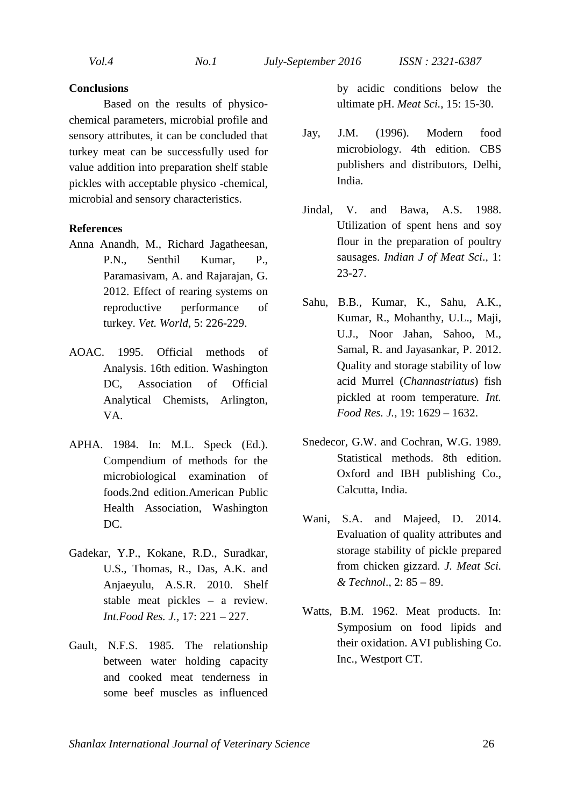#### **Conclusions**

Based on the results of physicochemical parameters, microbial profile and sensory attributes, it can be concluded that turkey meat can be successfully used for value addition into preparation shelf stable pickles with acceptable physico -chemical, microbial and sensory characteristics.

### **References**

- Anna Anandh, M., Richard Jagatheesan, P.N., Senthil Kumar, P., Paramasivam, A. and Rajarajan, G. 2012. Effect of rearing systems on reproductive performance of turkey. *Vet. World*, 5: 226-229.
- AOAC. 1995. Official methods of Analysis. 16th edition. Washington DC, Association of Official Analytical Chemists, Arlington, VA.
- APHA. 1984. In: M.L. Speck (Ed.). Compendium of methods for the microbiological examination of foods.2nd edition.American Public Health Association, Washington DC.
- Gadekar, Y.P., Kokane, R.D., Suradkar, U.S., Thomas, R., Das, A.K. and Anjaeyulu, A.S.R. 2010. Shelf stable meat pickles – a review. *Int.Food Res. J.,* 17: 221 – 227.
- Gault, N.F.S. 1985. The relationship between water holding capacity and cooked meat tenderness in some beef muscles as influenced

by acidic conditions below the ultimate pH. *Meat Sci.*, 15: 15-30.

- Jay, J.M. (1996). Modern food microbiology. 4th edition. CBS publishers and distributors, Delhi, India.
- Jindal, V. and Bawa, A.S. 1988. Utilization of spent hens and soy flour in the preparation of poultry sausages. *Indian J of Meat Sci*., 1: 23-27.
- Sahu, B.B., Kumar, K., Sahu, A.K., Kumar, R., Mohanthy, U.L., Maji, U.J., Noor Jahan, Sahoo, M., Samal, R. and Jayasankar, P. 2012. Quality and storage stability of low acid Murrel (*Channastriatus*) fish pickled at room temperature*. Int. Food Res. J.,* 19: 1629 – 1632.
- Snedecor, G.W. and Cochran, W.G. 1989. Statistical methods. 8th edition. Oxford and IBH publishing Co., Calcutta, India.
- Wani, S.A. and Majeed, D. 2014. Evaluation of quality attributes and storage stability of pickle prepared from chicken gizzard. *J. Meat Sci. & Technol*., 2: 85 – 89.
- Watts, B.M. 1962. Meat products. In: Symposium on food lipids and their oxidation. AVI publishing Co. Inc., Westport CT.